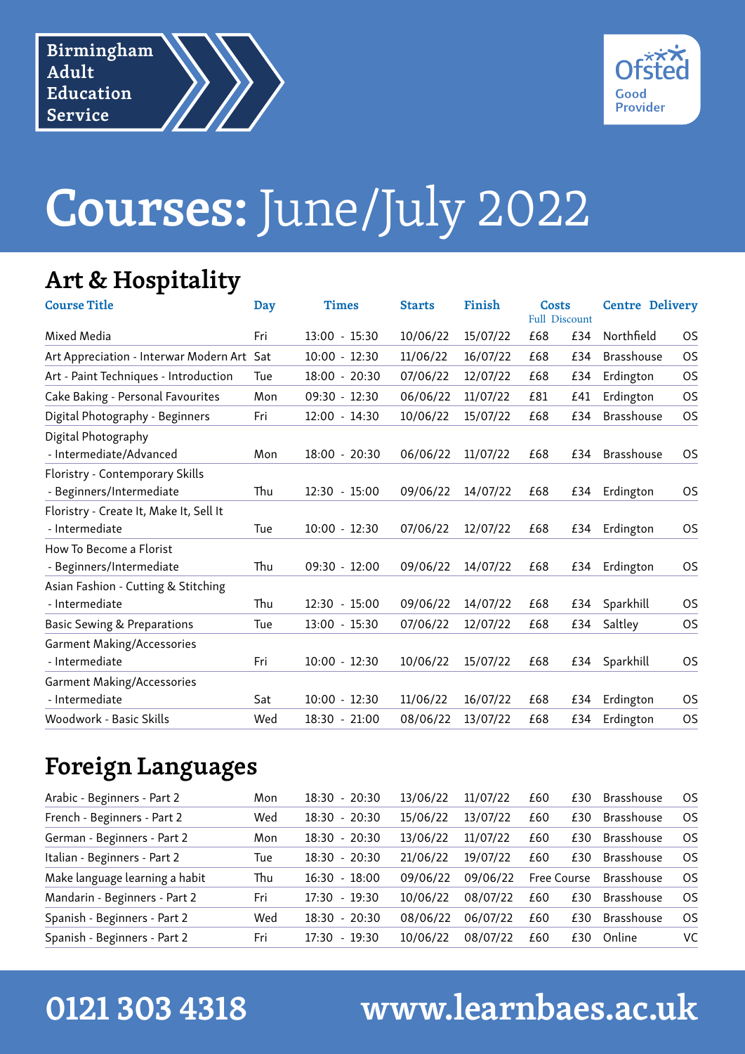

# **Courses:** June/July 2022

## **Art & Hospitality**

| <b>Course Title</b>                                         | Day | <b>Times</b>    | <b>Starts</b> | Finish   | <b>Costs</b><br><b>Full Discount</b> |     | <b>Centre Delivery</b> |           |
|-------------------------------------------------------------|-----|-----------------|---------------|----------|--------------------------------------|-----|------------------------|-----------|
| Mixed Media                                                 | Fri | 13:00 - 15:30   | 10/06/22      | 15/07/22 | £68                                  | £34 | Northfield             | <b>OS</b> |
| Art Appreciation - Interwar Modern Art Sat                  |     | $10:00 - 12:30$ | 11/06/22      | 16/07/22 | £68                                  | £34 | <b>Brasshouse</b>      | OS        |
| Art - Paint Techniques - Introduction                       | Tue | 18:00 - 20:30   | 07/06/22      | 12/07/22 | £68                                  | £34 | Erdington              | <b>OS</b> |
| Cake Baking - Personal Favourites                           | Mon | 09:30 - 12:30   | 06/06/22      | 11/07/22 | £81                                  | £41 | Erdington              | <b>OS</b> |
| Digital Photography - Beginners                             | Fri | 12:00 - 14:30   | 10/06/22      | 15/07/22 | £68                                  | £34 | <b>Brasshouse</b>      | OS        |
| Digital Photography<br>- Intermediate/Advanced              | Mon | 18:00 - 20:30   | 06/06/22      | 11/07/22 | £68                                  | £34 | <b>Brasshouse</b>      | OS        |
| Floristry - Contemporary Skills<br>- Beginners/Intermediate | Thu | 12:30 - 15:00   | 09/06/22      | 14/07/22 | £68                                  | £34 | Erdington              | <b>OS</b> |
| Floristry - Create It, Make It, Sell It<br>- Intermediate   | Tue | $10:00 - 12:30$ | 07/06/22      | 12/07/22 | £68                                  | £34 | Erdington              | <b>OS</b> |
| How To Become a Florist<br>- Beginners/Intermediate         | Thu | 09:30 - 12:00   | 09/06/22      | 14/07/22 | £68                                  | £34 | Erdington              | <b>OS</b> |
| Asian Fashion - Cutting & Stitching<br>- Intermediate       | Thu | 12:30 - 15:00   | 09/06/22      | 14/07/22 | £68                                  | £34 | Sparkhill              | OS        |
| <b>Basic Sewing &amp; Preparations</b>                      | Tue | 13:00 - 15:30   | 07/06/22      | 12/07/22 | £68                                  | £34 | Saltley                | OS        |
| <b>Garment Making/Accessories</b><br>- Intermediate         | Fri | $10:00 - 12:30$ | 10/06/22      | 15/07/22 | £68                                  | £34 | Sparkhill              | <b>OS</b> |
| <b>Garment Making/Accessories</b><br>- Intermediate         | Sat | $10:00 - 12:30$ | 11/06/22      | 16/07/22 | £68                                  | £34 | Erdington              | OS        |
| Woodwork - Basic Skills                                     | Wed | 18:30 - 21:00   | 08/06/22      | 13/07/22 | £68                                  | £34 | Erdington              | <b>OS</b> |

## **Foreign Languages**

| Arabic - Beginners - Part 2    | Mon | $18:30 - 20:30$   | 13/06/22 | 11/07/22 | £60                | £30 | <b>Brasshouse</b> | OS.       |
|--------------------------------|-----|-------------------|----------|----------|--------------------|-----|-------------------|-----------|
| French - Beginners - Part 2    | Wed | $18:30 - 20:30$   | 15/06/22 | 13/07/22 | £60                | £30 | <b>Brasshouse</b> | <b>OS</b> |
| German - Beginners - Part 2    | Mon | $18:30 - 20:30$   | 13/06/22 | 11/07/22 | £60                | £30 | <b>Brasshouse</b> | OS.       |
| Italian - Beginners - Part 2   | Tue | $18:30 - 20:30$   | 21/06/22 | 19/07/22 | £60                | £30 | <b>Brasshouse</b> | <b>OS</b> |
| Make language learning a habit | Thu | $-18:00$<br>16:30 | 09/06/22 | 09/06/22 | <b>Free Course</b> |     | <b>Brasshouse</b> | OS.       |
| Mandarin - Beginners - Part 2  | Fri | $-19:30$<br>17:30 | 10/06/22 | 08/07/22 | £60                | £30 | <b>Brasshouse</b> | OS.       |
| Spanish - Beginners - Part 2   | Wed | $18:30 - 20:30$   | 08/06/22 | 06/07/22 | £60                | £30 | <b>Brasshouse</b> | OS.       |
| Spanish - Beginners - Part 2   | Fri | $-19:30$<br>17:30 | 10/06/22 | 08/07/22 | £60                | £30 | Online            | VC        |
|                                |     |                   |          |          |                    |     |                   |           |

## **0121 303 4318 www.learnbaes.ac.uk**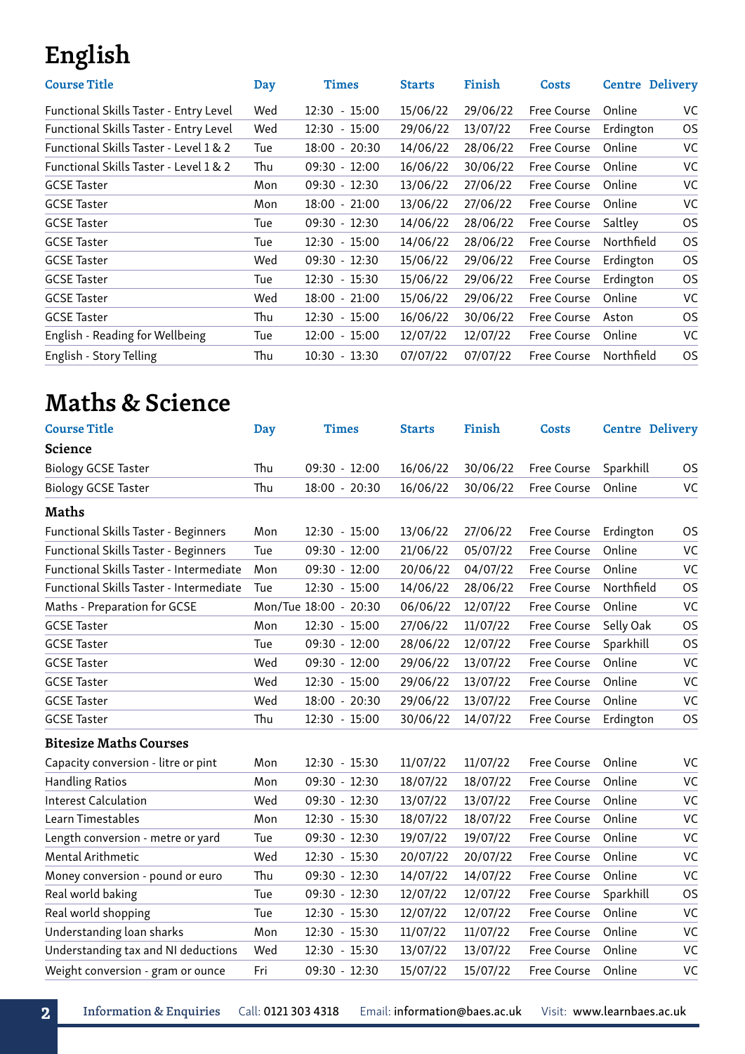## **English**

| <b>Course Title</b>                    | Day | <b>Times</b>    | <b>Starts</b> | Finish   | <b>Costs</b>       | <b>Centre Delivery</b> |           |
|----------------------------------------|-----|-----------------|---------------|----------|--------------------|------------------------|-----------|
| Functional Skills Taster - Entry Level | Wed | $12:30 - 15:00$ | 15/06/22      | 29/06/22 | <b>Free Course</b> | Online                 | VC        |
| Functional Skills Taster - Entry Level | Wed | $12:30 - 15:00$ | 29/06/22      | 13/07/22 | <b>Free Course</b> | Erdington              | <b>OS</b> |
| Functional Skills Taster - Level 1 & 2 | Tue | $18:00 - 20:30$ | 14/06/22      | 28/06/22 | <b>Free Course</b> | Online                 | VC        |
| Functional Skills Taster - Level 1 & 2 | Thu | $09:30 - 12:00$ | 16/06/22      | 30/06/22 | <b>Free Course</b> | Online                 | VC        |
| <b>GCSE Taster</b>                     | Mon | 09:30 - 12:30   | 13/06/22      | 27/06/22 | <b>Free Course</b> | Online                 | VC        |
| <b>GCSE Taster</b>                     | Mon | $18:00 - 21:00$ | 13/06/22      | 27/06/22 | <b>Free Course</b> | Online                 | VC        |
| <b>GCSE Taster</b>                     | Tue | 09:30 - 12:30   | 14/06/22      | 28/06/22 | <b>Free Course</b> | Saltley                | <b>OS</b> |
| <b>GCSE Taster</b>                     | Tue | $12:30 - 15:00$ | 14/06/22      | 28/06/22 | <b>Free Course</b> | Northfield             | OS        |
| <b>GCSE Taster</b>                     | Wed | $09:30 - 12:30$ | 15/06/22      | 29/06/22 | <b>Free Course</b> | Erdington              | <b>OS</b> |
| <b>GCSE Taster</b>                     | Tue | $12:30 - 15:30$ | 15/06/22      | 29/06/22 | <b>Free Course</b> | Erdington              | <b>OS</b> |
| <b>GCSE Taster</b>                     | Wed | $18:00 - 21:00$ | 15/06/22      | 29/06/22 | <b>Free Course</b> | Online                 | VC        |
| <b>GCSE Taster</b>                     | Thu | $12:30 - 15:00$ | 16/06/22      | 30/06/22 | <b>Free Course</b> | Aston                  | <b>OS</b> |
| English - Reading for Wellbeing        | Tue | $12:00 - 15:00$ | 12/07/22      | 12/07/22 | <b>Free Course</b> | Online                 | VC        |
| English - Story Telling                | Thu | $10:30 - 13:30$ | 07/07/22      | 07/07/22 | <b>Free Course</b> | Northfield             | <b>OS</b> |

### **Maths & Science**

| <b>Course Title</b>                     | <b>Day</b> | <b>Times</b>          | <b>Starts</b> | Finish   | <b>Costs</b>       | <b>Centre Delivery</b> |           |
|-----------------------------------------|------------|-----------------------|---------------|----------|--------------------|------------------------|-----------|
| Science                                 |            |                       |               |          |                    |                        |           |
| <b>Biology GCSE Taster</b>              | Thu        | 09:30 - 12:00         | 16/06/22      | 30/06/22 | Free Course        | Sparkhill              | <b>OS</b> |
| <b>Biology GCSE Taster</b>              | Thu        | 18:00 - 20:30         | 16/06/22      | 30/06/22 | <b>Free Course</b> | Online                 | VC        |
| Maths                                   |            |                       |               |          |                    |                        |           |
| Functional Skills Taster - Beginners    | Mon        | 12:30 - 15:00         | 13/06/22      | 27/06/22 | <b>Free Course</b> | Erdington              | <b>OS</b> |
| Functional Skills Taster - Beginners    | Tue        | 09:30 - 12:00         | 21/06/22      | 05/07/22 | Free Course        | Online                 | VC        |
| Functional Skills Taster - Intermediate | Mon        | 09:30 - 12:00         | 20/06/22      | 04/07/22 | Free Course        | Online                 | VC        |
| Functional Skills Taster - Intermediate | Tue        | 12:30 - 15:00         | 14/06/22      | 28/06/22 | Free Course        | Northfield             | <b>OS</b> |
| Maths - Preparation for GCSE            |            | Mon/Tue 18:00 - 20:30 | 06/06/22      | 12/07/22 | <b>Free Course</b> | Online                 | VC        |
| <b>GCSE Taster</b>                      | Mon        | 12:30 - 15:00         | 27/06/22      | 11/07/22 | Free Course        | Selly Oak              | <b>OS</b> |
| <b>GCSE Taster</b>                      | Tue        | $09:30 - 12:00$       | 28/06/22      | 12/07/22 | <b>Free Course</b> | Sparkhill              | <b>OS</b> |
| <b>GCSE Taster</b>                      | Wed        | $09:30 - 12:00$       | 29/06/22      | 13/07/22 | Free Course        | Online                 | VC        |
| <b>GCSE Taster</b>                      | Wed        | 12:30 - 15:00         | 29/06/22      | 13/07/22 | Free Course        | Online                 | VC        |
| <b>GCSE Taster</b>                      | Wed        | 18:00 - 20:30         | 29/06/22      | 13/07/22 | Free Course        | Online                 | VC        |
| <b>GCSE Taster</b>                      | Thu        | 12:30 - 15:00         | 30/06/22      | 14/07/22 | Free Course        | Erdington              | <b>OS</b> |
| <b>Bitesize Maths Courses</b>           |            |                       |               |          |                    |                        |           |
| Capacity conversion - litre or pint     | Mon        | 12:30 - 15:30         | 11/07/22      | 11/07/22 | Free Course        | Online                 | VC        |
| <b>Handling Ratios</b>                  | Mon        | 09:30 - 12:30         | 18/07/22      | 18/07/22 | Free Course        | Online                 | VC        |
| <b>Interest Calculation</b>             | Wed        | 09:30 - 12:30         | 13/07/22      | 13/07/22 | <b>Free Course</b> | Online                 | VC        |
| Learn Timestables                       | Mon        | $12:30 - 15:30$       | 18/07/22      | 18/07/22 | Free Course        | Online                 | VC        |
| Length conversion - metre or yard       | Tue        | 09:30 - 12:30         | 19/07/22      | 19/07/22 | <b>Free Course</b> | Online                 | VC        |
| Mental Arithmetic                       | Wed        | 12:30 - 15:30         | 20/07/22      | 20/07/22 | Free Course        | Online                 | VC        |
| Money conversion - pound or euro        | Thu        | 09:30 - 12:30         | 14/07/22      | 14/07/22 | Free Course        | Online                 | VC        |
| Real world baking                       | Tue        | 09:30 - 12:30         | 12/07/22      | 12/07/22 | Free Course        | Sparkhill              | <b>OS</b> |
| Real world shopping                     | Tue        | 12:30 - 15:30         | 12/07/22      | 12/07/22 | Free Course        | Online                 | VC        |
| Understanding loan sharks               | Mon        | 12:30 - 15:30         | 11/07/22      | 11/07/22 | Free Course        | Online                 | VC        |
| Understanding tax and NI deductions     | Wed        | 12:30 - 15:30         | 13/07/22      | 13/07/22 | Free Course        | Online                 | VC        |
| Weight conversion - gram or ounce       | Fri        | 09:30 - 12:30         | 15/07/22      | 15/07/22 | <b>Free Course</b> | Online                 | VC        |
|                                         |            |                       |               |          |                    |                        |           |

2 Information & Enquiries Call: 0121 303 4318 Email: information@baes.ac.uk Visit: www.learnbaes.ac.uk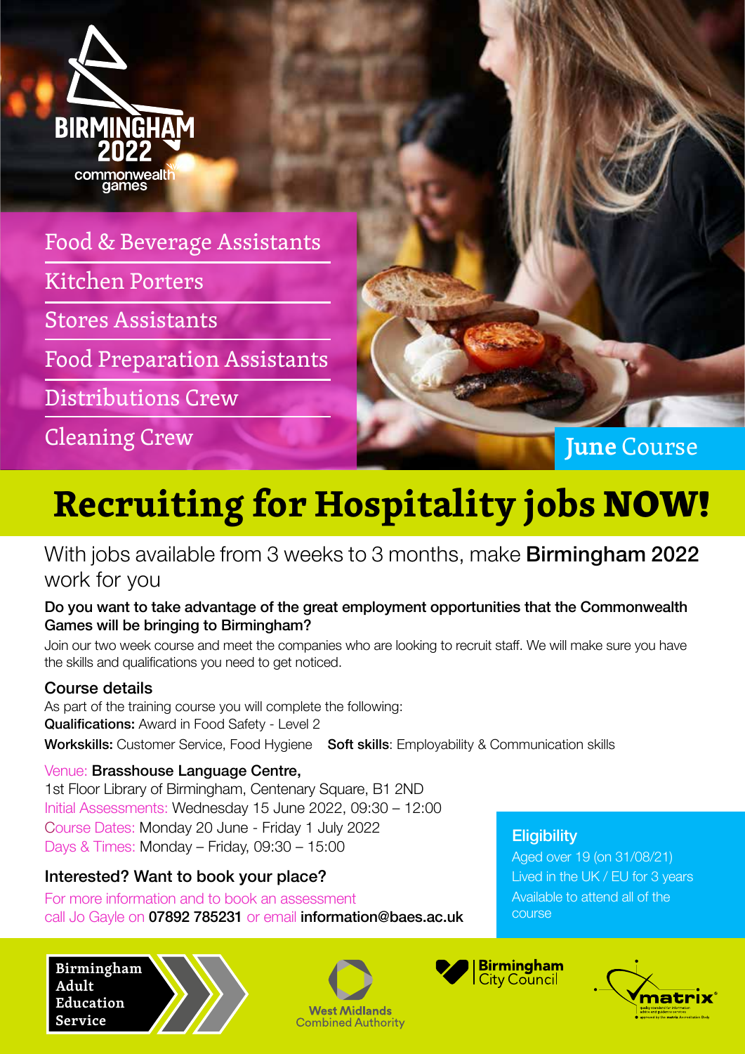

### Food & Beverage Assistants

Kitchen Porters

Stores Assistants

Food Preparation Assistants

Distributions Crew

Cleaning Crew

**June** Course

## **Recruiting for Hospitality jobs NOW!**

### With jobs available from 3 weeks to 3 months, make **Birmingham 2022** work for you

#### Do you want to take advantage of the great employment opportunities that the Commonwealth Games will be bringing to Birmingham?

Join our two week course and meet the companies who are looking to recruit staff. We will make sure you have the skills and qualifications you need to get noticed.

#### Course details

As part of the training course you will complete the following: Qualifications: Award in Food Safety - Level 2 Workskills: Customer Service, Food Hygiene Soft skills: Employability & Communication skills

#### Venue: Brasshouse Language Centre,

1st Floor Library of Birmingham, Centenary Square, B1 2ND Initial Assessments: Wednesday 15 June 2022, 09:30 – 12:00 Course Dates: Monday 20 June - Friday 1 July 2022 Days & Times: Monday – Friday, 09:30 – 15:00

#### Interested? Want to book your place?

For more information and to book an assessment call Jo Gayle on 07892 785231 or email information@baes.ac.uk

**Birmingham Adult Education Service**





#### **Eligibility**

Aged over 19 (on 31/08/21) Lived in the UK / EU for 3 years Available to attend all of the course



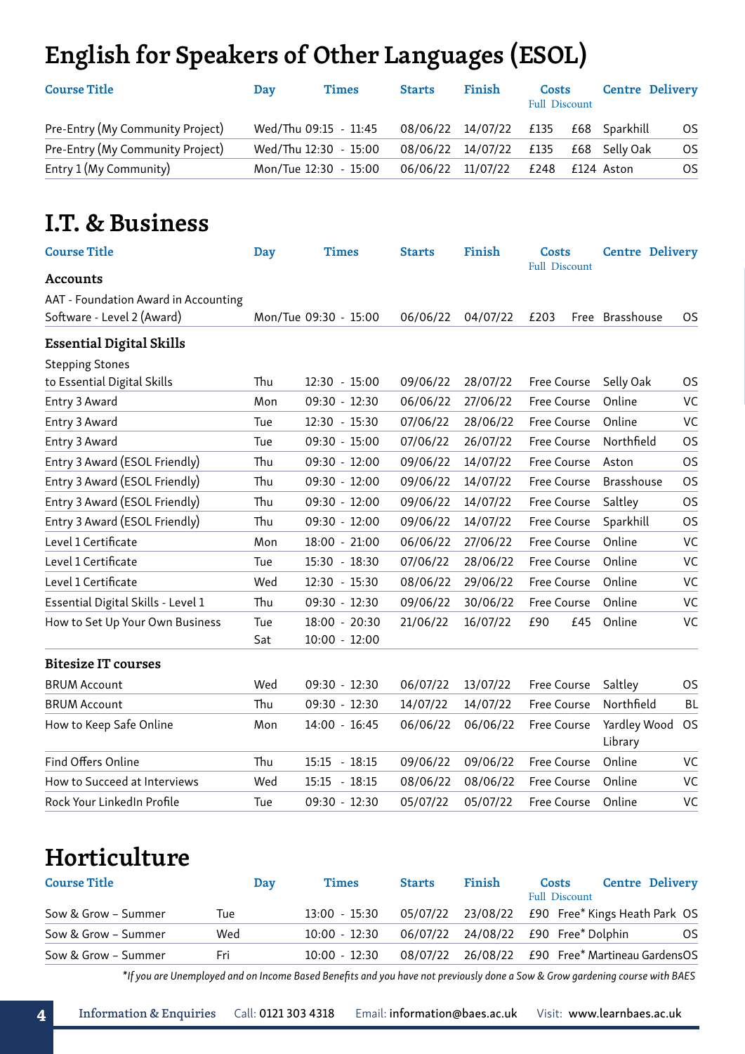## **English for Speakers of Other Languages (ESOL)**

| <b>Course Title</b>              | Day | <b>Times</b>          | <b>Starts</b> | Finish                               | Costs<br><b>Full Discount</b> |            | <b>Centre Delivery</b> |
|----------------------------------|-----|-----------------------|---------------|--------------------------------------|-------------------------------|------------|------------------------|
| Pre-Entry (My Community Project) |     | Wed/Thu 09:15 - 11:45 |               | 08/06/22 14/07/22 £135 £68 Sparkhill |                               |            | OS.                    |
| Pre-Entry (My Community Project) |     | Wed/Thu 12:30 - 15:00 |               | 08/06/22 14/07/22 £135 £68 Selly Oak |                               |            | OS.                    |
| Entry 1 (My Community)           |     | Mon/Tue 12:30 - 15:00 |               | 06/06/22 11/07/22                    | £248                          | £124 Aston | OS.                    |

### **I.T. & Business**

| <b>Course Title</b>                  | <b>Day</b> | <b>Times</b>                   | <b>Starts</b> | Finish   | <b>Costs</b><br><b>Full Discount</b> | <b>Centre Delivery</b>  |           |
|--------------------------------------|------------|--------------------------------|---------------|----------|--------------------------------------|-------------------------|-----------|
| <b>Accounts</b>                      |            |                                |               |          |                                      |                         |           |
| AAT - Foundation Award in Accounting |            |                                |               |          |                                      |                         |           |
| Software - Level 2 (Award)           |            | Mon/Tue 09:30 - 15:00          | 06/06/22      | 04/07/22 | £203                                 | Free Brasshouse         | <b>OS</b> |
| <b>Essential Digital Skills</b>      |            |                                |               |          |                                      |                         |           |
| <b>Stepping Stones</b>               |            |                                |               |          |                                      |                         |           |
| to Essential Digital Skills          | Thu        | 12:30 - 15:00                  | 09/06/22      | 28/07/22 | Free Course                          | Selly Oak               | <b>OS</b> |
| Entry 3 Award                        | Mon        | 09:30 - 12:30                  | 06/06/22      | 27/06/22 | <b>Free Course</b>                   | Online                  | VC        |
| Entry 3 Award                        | Tue        | 12:30 - 15:30                  | 07/06/22      | 28/06/22 | Free Course                          | Online                  | VC        |
| Entry 3 Award                        | Tue        | 09:30 - 15:00                  | 07/06/22      | 26/07/22 | Free Course                          | Northfield              | <b>OS</b> |
| Entry 3 Award (ESOL Friendly)        | Thu        | 09:30 - 12:00                  | 09/06/22      | 14/07/22 | <b>Free Course</b>                   | Aston                   | OS        |
| Entry 3 Award (ESOL Friendly)        | Thu        | 09:30 - 12:00                  | 09/06/22      | 14/07/22 | <b>Free Course</b>                   | <b>Brasshouse</b>       | <b>OS</b> |
| Entry 3 Award (ESOL Friendly)        | Thu        | 09:30 - 12:00                  | 09/06/22      | 14/07/22 | Free Course                          | Saltley                 | <b>OS</b> |
| Entry 3 Award (ESOL Friendly)        | Thu        | 09:30 - 12:00                  | 09/06/22      | 14/07/22 | Free Course                          | Sparkhill               | <b>OS</b> |
| Level 1 Certificate                  | Mon        | 18:00 - 21:00                  | 06/06/22      | 27/06/22 | Free Course                          | Online                  | VC        |
| Level 1 Certificate                  | Tue        | 15:30 - 18:30                  | 07/06/22      | 28/06/22 | Free Course                          | Online                  | VC        |
| Level 1 Certificate                  | Wed        | 12:30 - 15:30                  | 08/06/22      | 29/06/22 | Free Course                          | Online                  | VC        |
| Essential Digital Skills - Level 1   | Thu        | 09:30 - 12:30                  | 09/06/22      | 30/06/22 | <b>Free Course</b>                   | Online                  | VC        |
| How to Set Up Your Own Business      | Tue<br>Sat | 18:00 - 20:30<br>10:00 - 12:00 | 21/06/22      | 16/07/22 | £90<br>£45                           | Online                  | VC        |
| <b>Bitesize IT courses</b>           |            |                                |               |          |                                      |                         |           |
| <b>BRUM Account</b>                  | Wed        | 09:30 - 12:30                  | 06/07/22      | 13/07/22 | Free Course                          | Saltley                 | OS        |
| <b>BRUM Account</b>                  | Thu        | 09:30 - 12:30                  | 14/07/22      | 14/07/22 | Free Course                          | Northfield              | <b>BL</b> |
| How to Keep Safe Online              | Mon        | 14:00 - 16:45                  | 06/06/22      | 06/06/22 | Free Course                          | Yardley Wood<br>Library | <b>OS</b> |
| Find Offers Online                   | Thu        | $-18:15$<br>15:15              | 09/06/22      | 09/06/22 | <b>Free Course</b>                   | Online                  | VC        |
| How to Succeed at Interviews         | Wed        | 15:15 - 18:15                  | 08/06/22      | 08/06/22 | Free Course                          | Online                  | VC        |
| Rock Your LinkedIn Profile           | Tue        | 09:30 - 12:30                  | 05/07/22      | 05/07/22 | <b>Free Course</b>                   | Online                  | VC        |

### **Horticulture**

| <b>Course Title</b> | Day | <b>Times</b>    | <b>Starts</b> | Finish | <b>Costs</b><br><b>Full Discount</b>            | <b>Centre Delivery</b> |
|---------------------|-----|-----------------|---------------|--------|-------------------------------------------------|------------------------|
| Sow & Grow - Summer | Tue | 13:00 - 15:30   |               |        | 05/07/22 23/08/22 £90 Free* Kings Heath Park OS |                        |
| Sow & Grow - Summer | Wed | $10:00 - 12:30$ |               |        | 06/07/22 24/08/22 £90 Free* Dolphin             | 0S                     |
| Sow & Grow - Summer | Fri | $10:00 - 12:30$ | 08/07/22      |        | 26/08/22 £90 Free* Martineau GardensOS          |                        |

*\*If you are Unemployed and on Income Based Benefits and you have not previously done a Sow & Grow gardening course with BAES*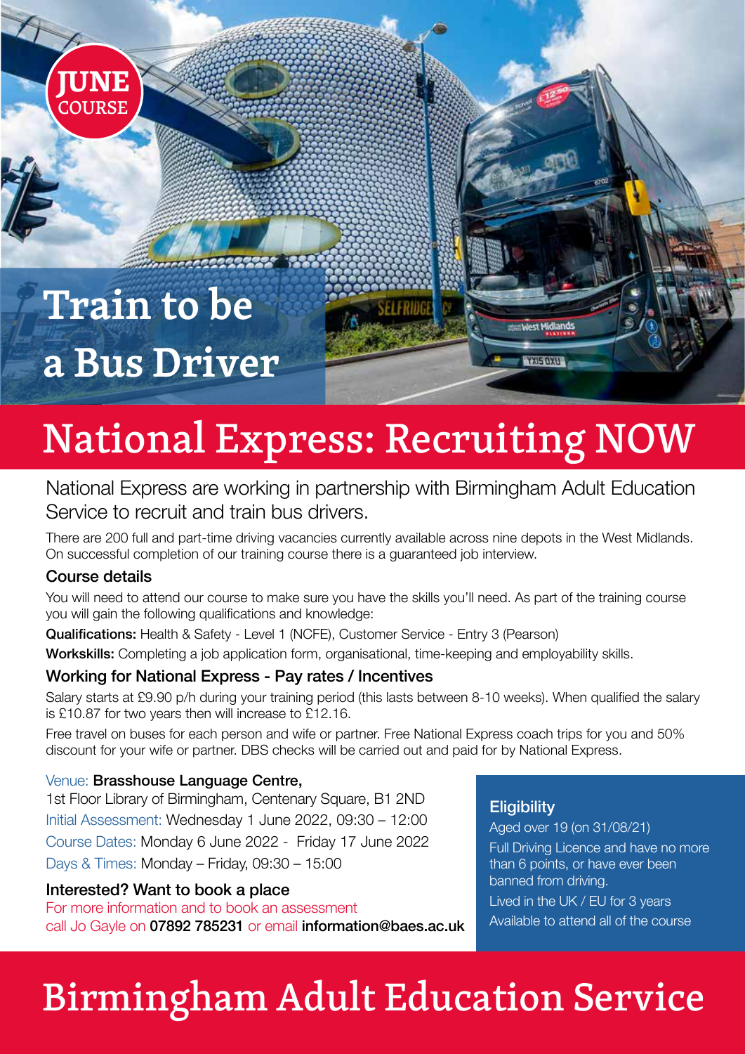

## **Train to be a Bus Driver**

## National Express: Recruiting NOW

### National Express are working in partnership with Birmingham Adult Education Service to recruit and train bus drivers.

There are 200 full and part-time driving vacancies currently available across nine depots in the West Midlands. On successful completion of our training course there is a guaranteed job interview.

#### Course details

You will need to attend our course to make sure you have the skills you'll need. As part of the training course you will gain the following qualifications and knowledge:

Qualifications: Health & Safety - Level 1 (NCFE), Customer Service - Entry 3 (Pearson)

Workskills: Completing a job application form, organisational, time-keeping and employability skills.

#### Working for National Express - Pay rates / Incentives

Salary starts at £9.90 p/h during your training period (this lasts between 8-10 weeks). When qualified the salary is £10.87 for two years then will increase to £12.16.

Free travel on buses for each person and wife or partner. Free National Express coach trips for you and 50% discount for your wife or partner. DBS checks will be carried out and paid for by National Express.

#### Venue: Brasshouse Language Centre,

1st Floor Library of Birmingham, Centenary Square, B1 2ND Initial Assessment: Wednesday 1 June 2022, 09:30 – 12:00 Course Dates: Monday 6 June 2022 - Friday 17 June 2022 Days & Times: Monday – Friday, 09:30 – 15:00

#### Interested? Want to book a place

For more information and to book an assessment call Jo Gayle on 07892 785231 or email information@baes.ac.uk

#### **Eligibility**

**Mact Midland** 

**YXIS DXII** 

Aged over 19 (on 31/08/21) Full Driving Licence and have no more than 6 points, or have ever been banned from driving. Lived in the UK / EU for 3 years Available to attend all of the course

## Birmingham Adult Education Service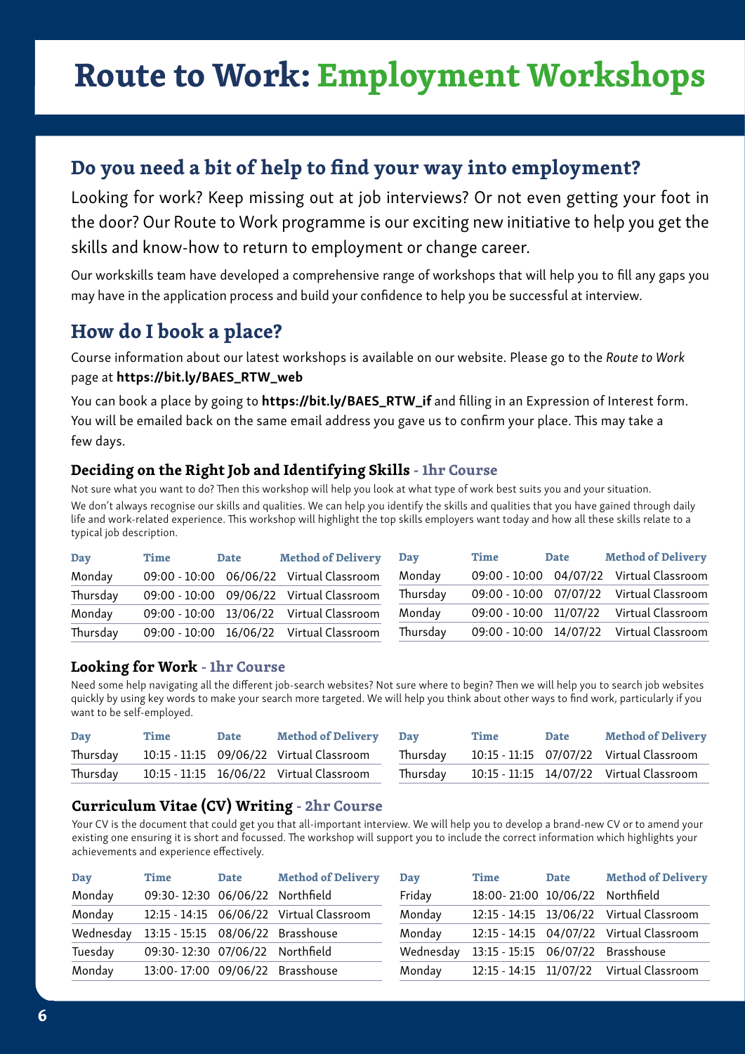## **Route to Work: Employment Workshops**

### **Do you need a bit of help to find your way into employment?**

Looking for work? Keep missing out at job interviews? Or not even getting your foot in the door? Our Route to Work programme is our exciting new initiative to help you get the skills and know-how to return to employment or change career.

Our workskills team have developed a comprehensive range of workshops that will help you to fill any gaps you may have in the application process and build your confidence to help you be successful at interview.

#### **How do I book a place?**

Course information about our latest workshops is available on our website. Please go to the *Route to Work* page at https://bit.ly/BAES\_RTW\_web

You can book a place by going to https://bit.ly/BAES\_RTW\_if and filling in an Expression of Interest form. You will be emailed back on the same email address you gave us to confirm your place. This may take a few days.

#### **Deciding on the Right Job and Identifying Skills - 1hr Course**

Not sure what you want to do? Then this workshop will help you look at what type of work best suits you and your situation. We don't always recognise our skills and qualities. We can help you identify the skills and qualities that you have gained through daily life and work-related experience. This workshop will highlight the top skills employers want today and how all these skills relate to a typical job description.

| Day      | Time                   | <b>Date</b> | <b>Method of Delivery</b>                | Day      | Time                   | Date     | <b>Method of Delivery</b>                |
|----------|------------------------|-------------|------------------------------------------|----------|------------------------|----------|------------------------------------------|
| Monday   |                        |             | 09:00 - 10:00 06/06/22 Virtual Classroom | Monday   |                        |          | 09:00 - 10:00 04/07/22 Virtual Classroom |
| Thursday |                        |             | 09:00 - 10:00 09/06/22 Virtual Classroom | Thursday | 09:00 - 10:00          | 07/07/22 | Virtual Classroom                        |
| Monday   | 09:00 - 10:00 13/06/22 |             | Virtual Classroom                        | Monday   | 09:00 - 10:00 11/07/22 |          | Virtual Classroom                        |
| Thursday | 09:00 - 10:00          | 16/06/22    | Virtual Classroom                        | Thursday | $09:00 - 10:00$        | 14/07/22 | Virtual Classroom                        |

#### **Looking for Work - 1hr Course**

Need some help navigating all the different job-search websites? Not sure where to begin? Then we will help you to search job websites quickly by using key words to make your search more targeted. We will help you think about other ways to find work, particularly if you want to be self-employed.

| Day      | Time | Date | <b>Method of Delivery</b>                  | Dav      | Time | Date | <b>Method of Delivery</b>                |
|----------|------|------|--------------------------------------------|----------|------|------|------------------------------------------|
| Thursday |      |      | 10:15 - 11:15 09/06/22 Virtual Classroom   | Thursday |      |      | 10:15 - 11:15 07/07/22 Virtual Classroom |
| Thursday |      |      | 10:15 - 11:15  16/06/22  Virtual Classroom | Thursday |      |      | 10:15 - 11:15 14/07/22 Virtual Classroom |

#### **Curriculum Vitae (CV) Writing - 2hr Course**

Your CV is the document that could get you that all-important interview. We will help you to develop a brand-new CV or to amend your existing one ensuring it is short and focussed. The workshop will support you to include the correct information which highlights your achievements and experience effectively.

| Day       | Time                              | Date | <b>Method of Delivery</b>                | Day       | Time                              | Date | <b>Method of Delivery</b>                |
|-----------|-----------------------------------|------|------------------------------------------|-----------|-----------------------------------|------|------------------------------------------|
| Monday    | 09:30-12:30 06/06/22 Northfield   |      |                                          | Friday    | 18:00-21:00 10/06/22 Northfield   |      |                                          |
| Monday    |                                   |      | 12:15 - 14:15 06/06/22 Virtual Classroom | Monday    |                                   |      | 12:15 - 14:15 13/06/22 Virtual Classroom |
| Wednesday | 13:15 - 15:15 08/06/22 Brasshouse |      |                                          | Monday    |                                   |      | 12:15 - 14:15 04/07/22 Virtual Classroom |
| Tuesday   | 09:30-12:30 07/06/22 Northfield   |      |                                          | Wednesday | 13:15 - 15:15 06/07/22 Brasshouse |      |                                          |
| Monday    | 13:00-17:00 09/06/22 Brasshouse   |      |                                          | Monday    |                                   |      | 12:15 - 14:15 11/07/22 Virtual Classroom |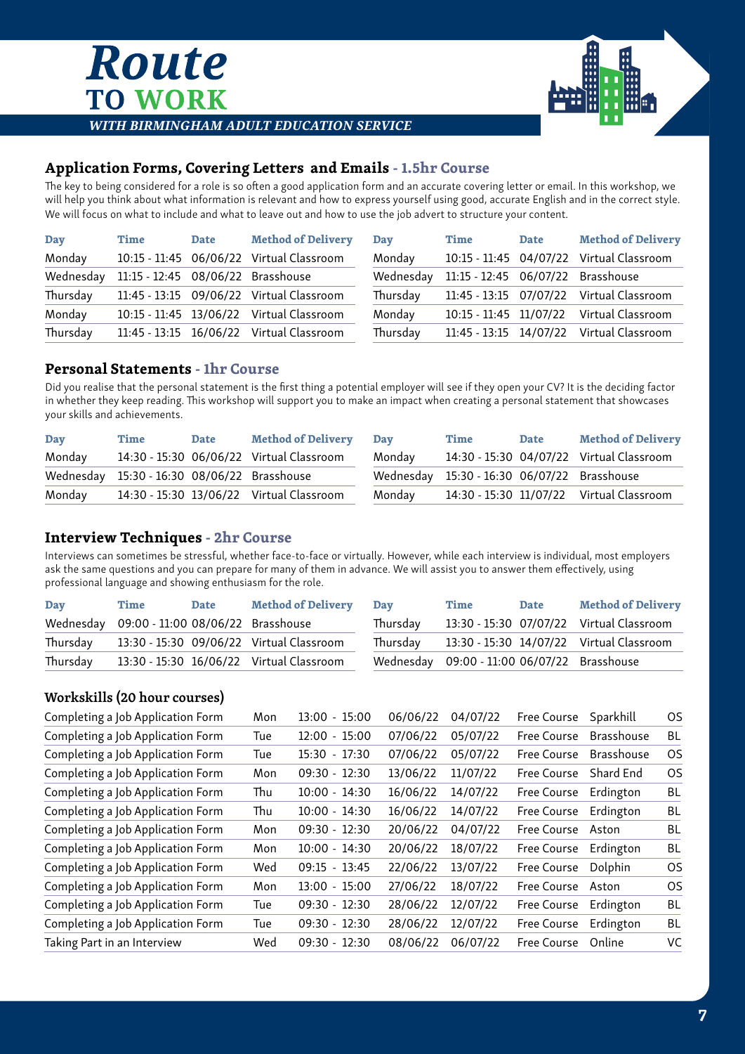

#### *WITH BIRMINGHAM ADULT EDUCATION SERVICE*

#### **Application Forms, Covering Letters and Emails - 1.5hr Course**

The key to being considered for a role is so often a good application form and an accurate covering letter or email. In this workshop, we will help you think about what information is relevant and how to express yourself using good, accurate English and in the correct style. We will focus on what to include and what to leave out and how to use the job advert to structure your content.

| Day       | Time                              | Date | <b>Method of Delivery</b>                | Dav       | Time                              | Date | <b>Method of Delivery</b> |
|-----------|-----------------------------------|------|------------------------------------------|-----------|-----------------------------------|------|---------------------------|
| Monday    |                                   |      | 10:15 - 11:45 06/06/22 Virtual Classroom | Monday    | 10:15 - 11:45 04/07/22            |      | Virtual Classroom         |
| Wednesday | 11:15 - 12:45 08/06/22 Brasshouse |      |                                          | Wednesday | 11:15 - 12:45 06/07/22 Brasshouse |      |                           |
| Thursday  |                                   |      | 11:45 - 13:15 09/06/22 Virtual Classroom | Thursday  | 11:45 - 13:15 07/07/22            |      | Virtual Classroom         |
| Monday    |                                   |      | 10:15 - 11:45 13/06/22 Virtual Classroom | Monday    | 10:15 - 11:45 11/07/22            |      | Virtual Classroom         |
| Thursday  |                                   |      | 11:45 - 13:15 16/06/22 Virtual Classroom | Thursday  | 11:45 - 13:15 14/07/22            |      | Virtual Classroom         |

#### **Personal Statements - 1hr Course**

Route

**TO WORK** 

Did you realise that the personal statement is the first thing a potential employer will see if they open your CV? It is the deciding factor in whether they keep reading. This workshop will support you to make an impact when creating a personal statement that showcases your skills and achievements.

| Day    | Time                                        | Date | <b>Method of Delivery</b>                | Dav    | Time                                        | Date | <b>Method of Delivery</b>                |
|--------|---------------------------------------------|------|------------------------------------------|--------|---------------------------------------------|------|------------------------------------------|
| Monday |                                             |      | 14:30 - 15:30 06/06/22 Virtual Classroom | Monday |                                             |      | 14:30 - 15:30 04/07/22 Virtual Classroom |
|        | Wednesday 15:30 - 16:30 08/06/22 Brasshouse |      |                                          |        | Wednesday 15:30 - 16:30 06/07/22 Brasshouse |      |                                          |
| Monday |                                             |      | 14:30 - 15:30 13/06/22 Virtual Classroom | Monday |                                             |      | 14:30 - 15:30 11/07/22 Virtual Classroom |

#### **Interview Techniques - 2hr Course**

Interviews can sometimes be stressful, whether face-to-face or virtually. However, while each interview is individual, most employers ask the same questions and you can prepare for many of them in advance. We will assist you to answer them effectively, using professional language and showing enthusiasm for the role.

| Day      | Time                                        | Date | <b>Method of Delivery</b>                | Dav      | Time                                        | Date | <b>Method of Delivery</b>                |
|----------|---------------------------------------------|------|------------------------------------------|----------|---------------------------------------------|------|------------------------------------------|
|          | Wednesday 09:00 - 11:00 08/06/22 Brasshouse |      |                                          | Thursday |                                             |      | 13:30 - 15:30 07/07/22 Virtual Classroom |
| Thursday |                                             |      | 13:30 - 15:30 09/06/22 Virtual Classroom | Thursday |                                             |      | 13:30 - 15:30 14/07/22 Virtual Classroom |
| Thursday |                                             |      | 13:30 - 15:30 16/06/22 Virtual Classroom |          | Wednesday 09:00 - 11:00 06/07/22 Brasshouse |      |                                          |

#### **Workskills (20 hour courses)**

| <b>BL</b><br>Brasshouse<br><b>OS</b><br><b>Brasshouse</b> |
|-----------------------------------------------------------|
|                                                           |
|                                                           |
| <b>OS</b>                                                 |
| BL                                                        |
| BL                                                        |
| BL                                                        |
| BL                                                        |
| <b>OS</b>                                                 |
| OS.                                                       |
| BL                                                        |
| <b>BL</b>                                                 |
| VC                                                        |
| Shard End                                                 |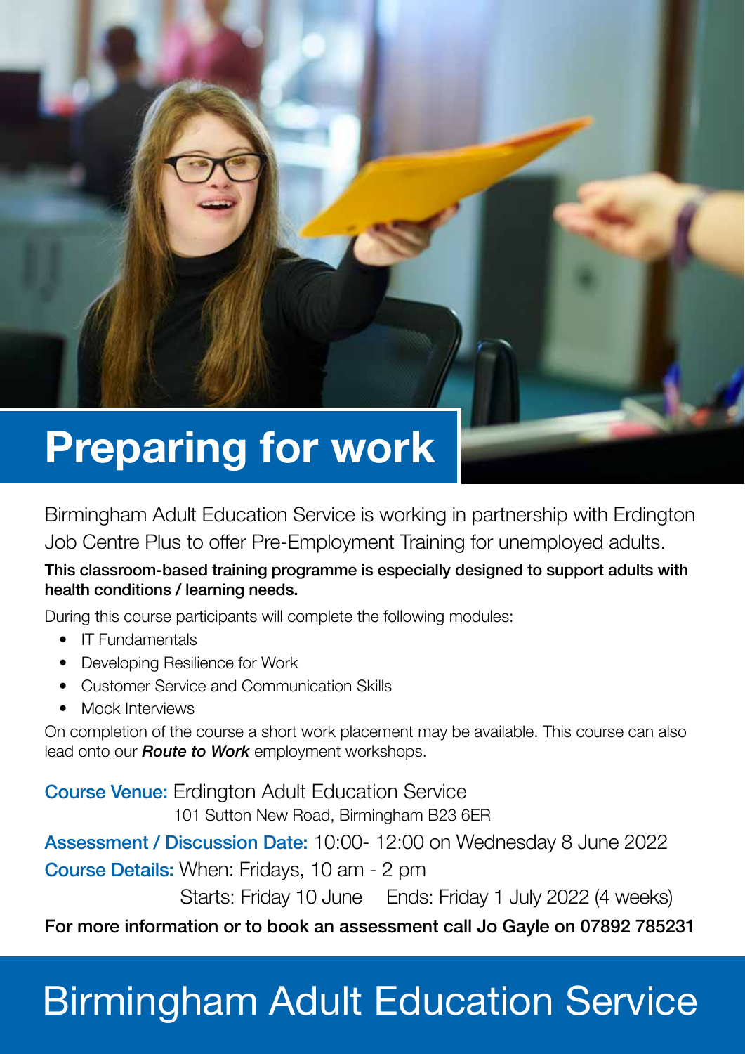

## **Preparing for work**

Birmingham Adult Education Service is working in partnership with Erdington Job Centre Plus to offer Pre-Employment Training for unemployed adults.

#### This classroom-based training programme is especially designed to support adults with health conditions / learning needs.

During this course participants will complete the following modules:

- IT Fundamentals
- Developing Resilience for Work
- Customer Service and Communication Skills
- Mock Interviews

On completion of the course a short work placement may be available. This course can also lead onto our *Route to Work* employment workshops.

Course Venue: Erdington Adult Education Service 101 Sutton New Road, Birmingham B23 6ER

Assessment / Discussion Date: 10:00- 12:00 on Wednesday 8 June 2022

Course Details: When: Fridays, 10 am - 2 pm

Starts: Friday 10 June Ends: Friday 1 July 2022 (4 weeks)

For more information or to book an assessment call Jo Gayle on 07892 785231

## Birmingham Adult Education Service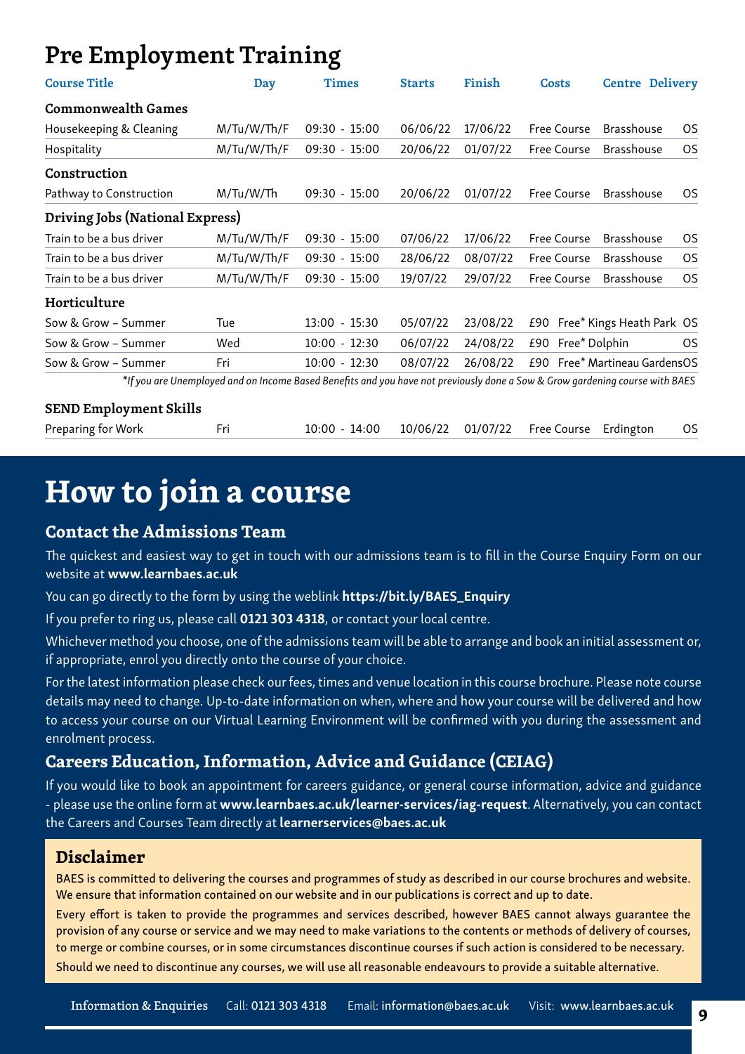### **Pre Employment Training**

| <b>Course Title</b>             | Day                                                                                                                          | <b>Times</b>    | <b>Starts</b> | Finish   | <b>Costs</b>         | <b>Centre Delivery</b>        |     |
|---------------------------------|------------------------------------------------------------------------------------------------------------------------------|-----------------|---------------|----------|----------------------|-------------------------------|-----|
| <b>Commonwealth Games</b>       |                                                                                                                              |                 |               |          |                      |                               |     |
| Housekeeping & Cleaning         | M/Tu/W/Th/F                                                                                                                  | $09:30 - 15:00$ | 06/06/22      | 17/06/22 | <b>Free Course</b>   | <b>Brasshouse</b>             | OS. |
| Hospitality                     | M/Tu/W/Th/F                                                                                                                  | $09:30 - 15:00$ | 20/06/22      | 01/07/22 | Free Course          | <b>Brasshouse</b>             | OS. |
| Construction                    |                                                                                                                              |                 |               |          |                      |                               |     |
| Pathway to Construction         | M/Tu/W/Th                                                                                                                    | $09:30 - 15:00$ | 20/06/22      | 01/07/22 | Free Course          | <b>Brasshouse</b>             | OS. |
| Driving Jobs (National Express) |                                                                                                                              |                 |               |          |                      |                               |     |
| Train to be a bus driver        | M/Tu/W/Th/F                                                                                                                  | $09:30 - 15:00$ | 07/06/22      | 17/06/22 | <b>Free Course</b>   | <b>Brasshouse</b>             | OS. |
| Train to be a bus driver        | M/Tu/W/Th/F                                                                                                                  | $09:30 - 15:00$ | 28/06/22      | 08/07/22 | <b>Free Course</b>   | <b>Brasshouse</b>             | OS  |
| Train to be a bus driver        | M/Tu/W/Th/F                                                                                                                  | $09:30 - 15:00$ | 19/07/22      | 29/07/22 | <b>Free Course</b>   | <b>Brasshouse</b>             | OS. |
| Horticulture                    |                                                                                                                              |                 |               |          |                      |                               |     |
| Sow & Grow - Summer             | Tue                                                                                                                          | $13:00 - 15:30$ | 05/07/22      | 23/08/22 |                      | £90 Free* Kings Heath Park OS |     |
| Sow & Grow - Summer             | Wed                                                                                                                          | $10:00 - 12:30$ | 06/07/22      | 24/08/22 | Free* Dolphin<br>£90 |                               | OS. |
| Sow & Grow - Summer             | Fri                                                                                                                          | $10:00 - 12:30$ | 08/07/22      | 26/08/22 |                      | £90 Free* Martineau GardensOS |     |
|                                 | *If you are Unemployed and on Income Based Benefits and you have not previously done a Sow & Grow gardening course with BAES |                 |               |          |                      |                               |     |
| SEND Employment Stille          |                                                                                                                              |                 |               |          |                      |                               |     |

| <b>ODIVIO DIAPIO y INCHE ORINO</b> |  |  |  |                                                               |  |
|------------------------------------|--|--|--|---------------------------------------------------------------|--|
| Preparing for Work <b>Fri</b>      |  |  |  | 10:00 - 14:00  10/06/22  01/07/22  Free Course  Erdington  0S |  |
|                                    |  |  |  |                                                               |  |

## **How to join a course**

#### **Contact the Admissions Team**

The quickest and easiest way to get in touch with our admissions team is to fill in the Course Enquiry Form on our website at www.learnbaes.ac.uk

You can go directly to the form by using the weblink https://bit.ly/BAES\_Enquiry

If you prefer to ring us, please call 0121 303 4318, or contact your local centre.

Whichever method you choose, one of the admissions team will be able to arrange and book an initial assessment or, if appropriate, enrol you directly onto the course of your choice.

For the latest information please check our fees, times and venue location in this course brochure. Please note course details may need to change. Up-to-date information on when, where and how your course will be delivered and how to access your course on our Virtual Learning Environment will be confirmed with you during the assessment and enrolment process.

#### **Careers Education, Information, Advice and Guidance (CEIAG)**

If you would like to book an appointment for careers guidance, or general course information, advice and guidance - please use the online form at www.learnbaes.ac.uk/learner-services/iag-request. Alternatively, you can contact the Careers and Courses Team directly at learnerservices@baes.ac.uk

#### **Disclaimer**

BAES is committed to delivering the courses and programmes of study as described in our course brochures and website. We ensure that information contained on our website and in our publications is correct and up to date.

Every effort is taken to provide the programmes and services described, however BAES cannot always guarantee the provision of any course or service and we may need to make variations to the contents or methods of delivery of courses, to merge or combine courses, or in some circumstances discontinue courses if such action is considered to be necessary. Should we need to discontinue any courses, we will use all reasonable endeavours to provide a suitable alternative.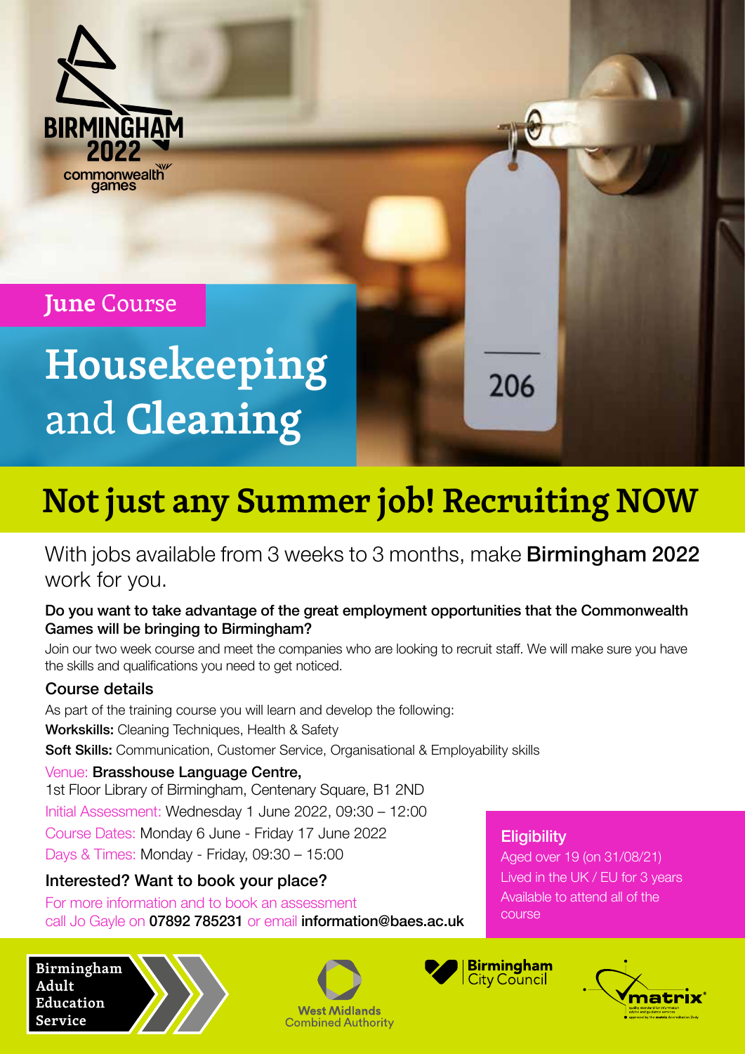

### **June** Course

**Housekeeping** and **Cleaning**

## **Not just any Summer job! Recruiting NOW**

With jobs available from 3 weeks to 3 months, make **Birmingham 2022** work for you.

#### Do you want to take advantage of the great employment opportunities that the Commonwealth Games will be bringing to Birmingham?

Join our two week course and meet the companies who are looking to recruit staff. We will make sure you have the skills and qualifications you need to get noticed.

#### Course details

As part of the training course you will learn and develop the following: Workskills: Cleaning Techniques, Health & Safety Soft Skills: Communication, Customer Service, Organisational & Employability skills Venue: Brasshouse Language Centre, 1st Floor Library of Birmingham, Centenary Square, B1 2ND Initial Assessment: Wednesday 1 June 2022, 09:30 – 12:00

Course Dates: Monday 6 June - Friday 17 June 2022

Days & Times: Monday - Friday, 09:30 – 15:00

#### Interested? Want to book your place?

For more information and to book an assessment call Jo Gayle on 07892 785231 or email information@baes.ac.uk

#### **Eligibility**

206

Aged over 19 (on 31/08/21) Lived in the UK / EU for 3 years Available to attend all of the course

**Birmingham Adult Education Service**







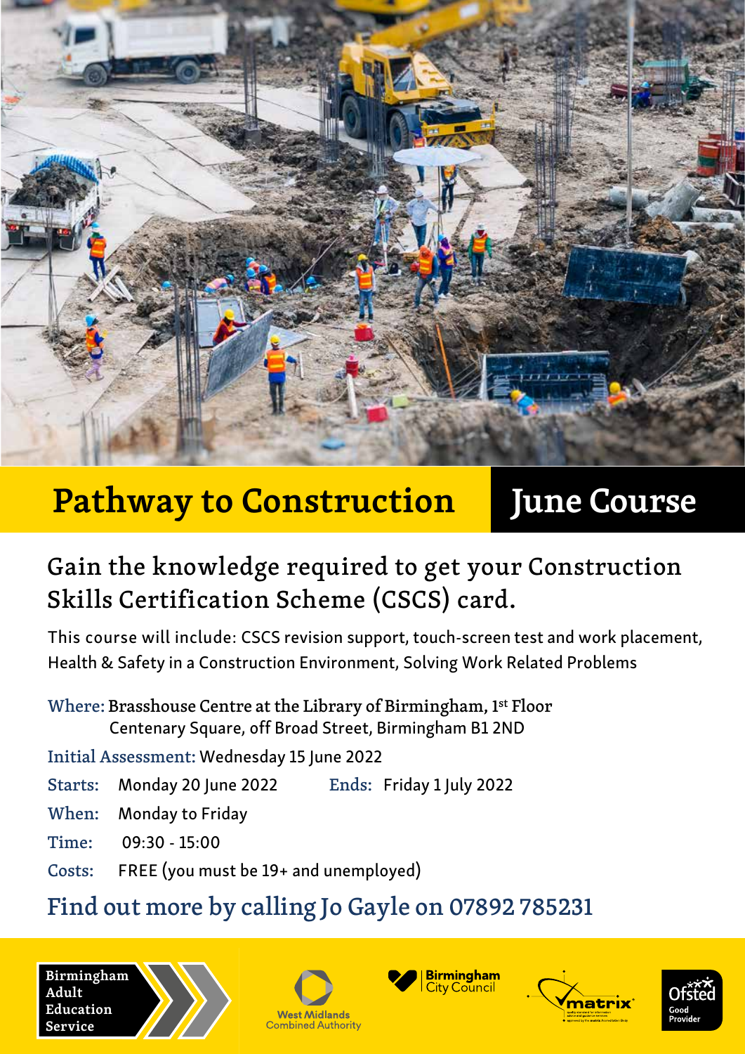## **Pathway to Construction Pathway to Construction June Course**

 $B = \frac{1}{2}$ 

## Gain the knowledge required to get your Construction Skills Certification Scheme (CSCS) card.

This course will include: CSCS revision support, touch-screen test and work placement, Health & Safety in a Construction Environment, Solving Work Related Problems

- Where: Brasshouse Centre at the Library of Birmingham, 1st Floor Centenary Square, off Broad Street, Birmingham B1 2ND
- Initial Assessment: Wednesday 15 June 2022
- Starts: Monday 20 June 2022 Ends: Friday 1 July 2022
- When: Monday to Friday
- Time: 09:30 15:00
- Costs: FREE (you must be 19+ and unemployed)

## Find out more by calling Jo Gayle on 07892 785231